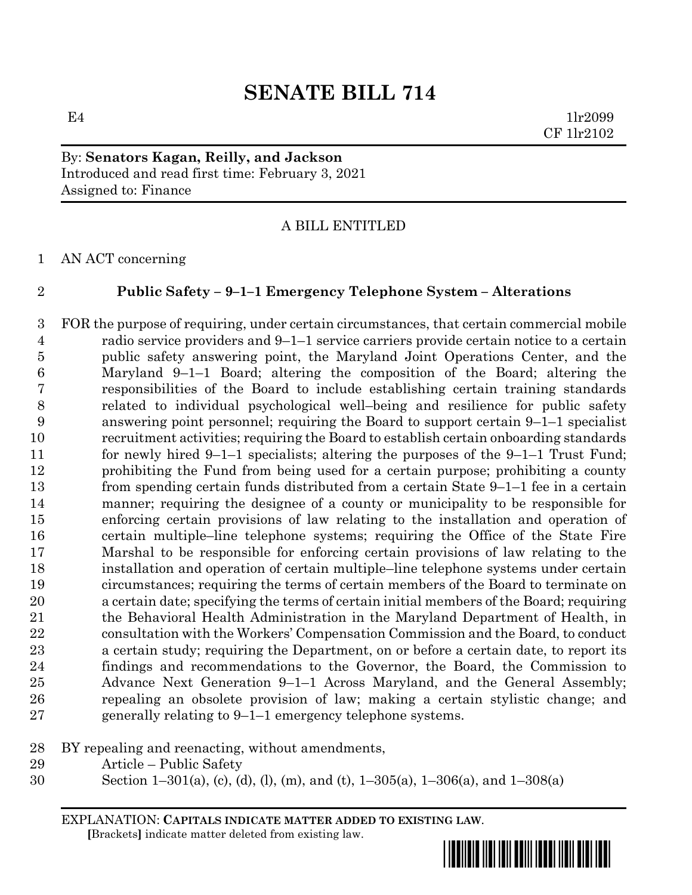$E4$  1lr2099 CF 1lr2102

By: **Senators Kagan, Reilly, and Jackson** Introduced and read first time: February 3, 2021 Assigned to: Finance

# A BILL ENTITLED

AN ACT concerning

# **Public Safety – 9–1–1 Emergency Telephone System – Alterations**

 FOR the purpose of requiring, under certain circumstances, that certain commercial mobile radio service providers and 9–1–1 service carriers provide certain notice to a certain public safety answering point, the Maryland Joint Operations Center, and the Maryland 9–1–1 Board; altering the composition of the Board; altering the responsibilities of the Board to include establishing certain training standards related to individual psychological well–being and resilience for public safety answering point personnel; requiring the Board to support certain 9–1–1 specialist recruitment activities; requiring the Board to establish certain onboarding standards for newly hired 9–1–1 specialists; altering the purposes of the 9–1–1 Trust Fund; prohibiting the Fund from being used for a certain purpose; prohibiting a county from spending certain funds distributed from a certain State 9–1–1 fee in a certain manner; requiring the designee of a county or municipality to be responsible for enforcing certain provisions of law relating to the installation and operation of certain multiple–line telephone systems; requiring the Office of the State Fire Marshal to be responsible for enforcing certain provisions of law relating to the installation and operation of certain multiple–line telephone systems under certain circumstances; requiring the terms of certain members of the Board to terminate on a certain date; specifying the terms of certain initial members of the Board; requiring the Behavioral Health Administration in the Maryland Department of Health, in consultation with the Workers' Compensation Commission and the Board, to conduct a certain study; requiring the Department, on or before a certain date, to report its findings and recommendations to the Governor, the Board, the Commission to Advance Next Generation 9–1–1 Across Maryland, and the General Assembly; repealing an obsolete provision of law; making a certain stylistic change; and generally relating to 9–1–1 emergency telephone systems.

- BY repealing and reenacting, without amendments,
- Article Public Safety
- Section 1–301(a), (c), (d), (l), (m), and (t), 1–305(a), 1–306(a), and 1–308(a)

EXPLANATION: **CAPITALS INDICATE MATTER ADDED TO EXISTING LAW**.  **[**Brackets**]** indicate matter deleted from existing law.

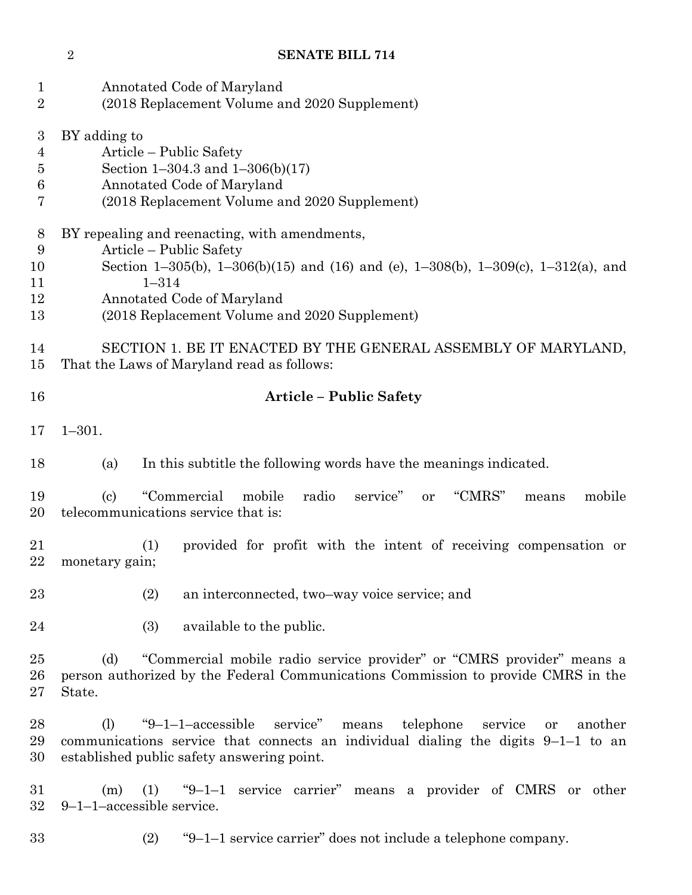| 1<br>$\overline{2}$                               | Annotated Code of Maryland<br>(2018 Replacement Volume and 2020 Supplement)                                                                                                                                                                                                                                                 |  |  |  |  |
|---------------------------------------------------|-----------------------------------------------------------------------------------------------------------------------------------------------------------------------------------------------------------------------------------------------------------------------------------------------------------------------------|--|--|--|--|
| $\boldsymbol{3}$<br>$\overline{4}$<br>5<br>6<br>7 | BY adding to<br>Article – Public Safety<br>Section 1-304.3 and $1-306(b)(17)$<br>Annotated Code of Maryland<br>(2018 Replacement Volume and 2020 Supplement)                                                                                                                                                                |  |  |  |  |
| 8<br>9<br>10<br>11<br>12<br>13<br>14              | BY repealing and reenacting, with amendments,<br>Article – Public Safety<br>Section 1-305(b), 1-306(b)(15) and (16) and (e), 1-308(b), 1-309(c), 1-312(a), and<br>$1 - 314$<br>Annotated Code of Maryland<br>(2018 Replacement Volume and 2020 Supplement)<br>SECTION 1. BE IT ENACTED BY THE GENERAL ASSEMBLY OF MARYLAND, |  |  |  |  |
| 15                                                | That the Laws of Maryland read as follows:                                                                                                                                                                                                                                                                                  |  |  |  |  |
| 16                                                | <b>Article - Public Safety</b>                                                                                                                                                                                                                                                                                              |  |  |  |  |
| 17                                                | $1 - 301.$                                                                                                                                                                                                                                                                                                                  |  |  |  |  |
| 18                                                | In this subtitle the following words have the meanings indicated.<br>(a)                                                                                                                                                                                                                                                    |  |  |  |  |
| 19<br>20                                          | "CMRS"<br>"Commercial<br>mobile<br>radio<br>mobile<br>$\left( \mathrm{c} \right)$<br>service"<br><b>or</b><br>means<br>telecommunications service that is:                                                                                                                                                                  |  |  |  |  |
| 21<br>22                                          | provided for profit with the intent of receiving compensation or<br>(1)<br>monetary gain;                                                                                                                                                                                                                                   |  |  |  |  |
| 23                                                | (2)<br>an interconnected, two-way voice service; and                                                                                                                                                                                                                                                                        |  |  |  |  |
| 24                                                | (3)<br>available to the public.                                                                                                                                                                                                                                                                                             |  |  |  |  |
| 25<br>26<br>$27\,$                                | "Commercial mobile radio service provider" or "CMRS provider" means a<br>(d)<br>person authorized by the Federal Communications Commission to provide CMRS in the<br>State.                                                                                                                                                 |  |  |  |  |
| 28<br>29<br>30                                    | "9 $-1$ -1 $-$ accessible"<br>service"<br>telephone<br>(1)<br>means<br>service<br>another<br>or<br>communications service that connects an individual dialing the digits $9-1-1$ to an<br>established public safety answering point.                                                                                        |  |  |  |  |
| 31<br>32                                          | "9-1-1 service carrier" means a provider of CMRS or other<br>(1)<br>(m)<br>9-1-1-accessible service.                                                                                                                                                                                                                        |  |  |  |  |

- 
- (2) "9–1–1 service carrier" does not include a telephone company.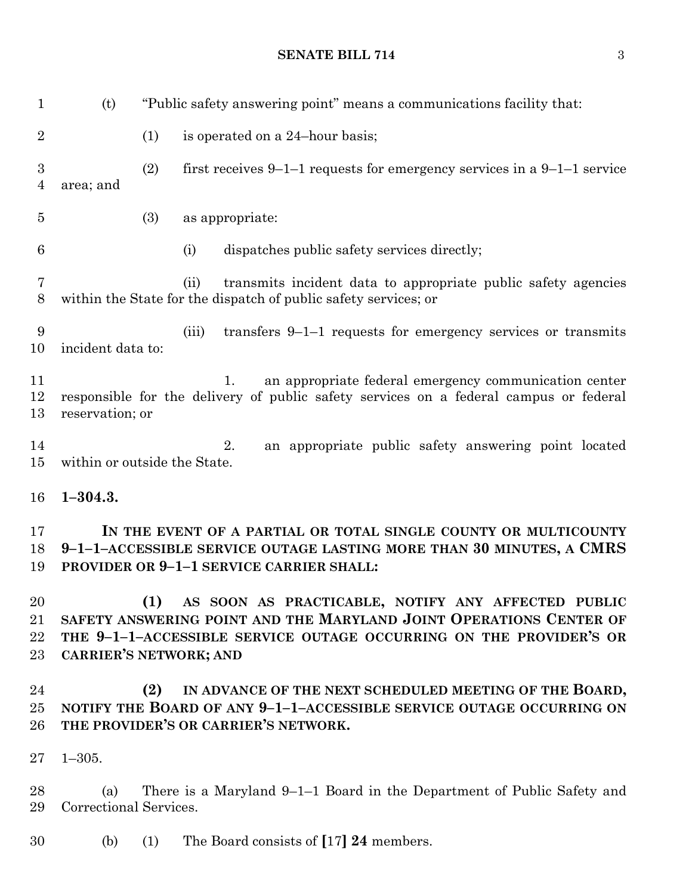| $\mathbf{1}$          | (t)                                                                                                                                                                                        |     | "Public safety answering point" means a communications facility that:                                                                                                                              |  |  |
|-----------------------|--------------------------------------------------------------------------------------------------------------------------------------------------------------------------------------------|-----|----------------------------------------------------------------------------------------------------------------------------------------------------------------------------------------------------|--|--|
| $\boldsymbol{2}$      |                                                                                                                                                                                            | (1) | is operated on a 24-hour basis;                                                                                                                                                                    |  |  |
| $\boldsymbol{3}$<br>4 | area; and                                                                                                                                                                                  | (2) | first receives $9-1-1$ requests for emergency services in a $9-1-1$ service                                                                                                                        |  |  |
| $\overline{5}$        |                                                                                                                                                                                            | (3) | as appropriate:                                                                                                                                                                                    |  |  |
| 6                     |                                                                                                                                                                                            |     | dispatches public safety services directly;<br>(i)                                                                                                                                                 |  |  |
| 7<br>$8\,$            |                                                                                                                                                                                            |     | transmits incident data to appropriate public safety agencies<br>(ii)<br>within the State for the dispatch of public safety services; or                                                           |  |  |
| 9<br>10               | incident data to:                                                                                                                                                                          |     | transfers $9-1-1$ requests for emergency services or transmits<br>(iii)                                                                                                                            |  |  |
| 11<br>12<br>13        | an appropriate federal emergency communication center<br>1.<br>responsible for the delivery of public safety services on a federal campus or federal<br>reservation; or                    |     |                                                                                                                                                                                                    |  |  |
| 14<br>15              | 2.<br>an appropriate public safety answering point located<br>within or outside the State.                                                                                                 |     |                                                                                                                                                                                                    |  |  |
| 16                    | $1 - 304.3.$                                                                                                                                                                               |     |                                                                                                                                                                                                    |  |  |
| 17<br>18<br>19        | IN THE EVENT OF A PARTIAL OR TOTAL SINGLE COUNTY OR MULTICOUNTY<br>9-1-1-ACCESSIBLE SERVICE OUTAGE LASTING MORE THAN 30 MINUTES, A CMRS<br><b>PROVIDER OR 9-1-1 SERVICE CARRIER SHALL:</b> |     |                                                                                                                                                                                                    |  |  |
| 20<br>21<br>22<br>23  | <b>CARRIER'S NETWORK; AND</b>                                                                                                                                                              |     | (1) AS SOON AS PRACTICABLE, NOTIFY ANY AFFECTED PUBLIC<br>SAFETY ANSWERING POINT AND THE MARYLAND JOINT OPERATIONS CENTER OF<br>THE 9-1-1-ACCESSIBLE SERVICE OUTAGE OCCURRING ON THE PROVIDER'S OR |  |  |
| 24<br>25<br>26        |                                                                                                                                                                                            | (2) | IN ADVANCE OF THE NEXT SCHEDULED MEETING OF THE BOARD,<br>NOTIFY THE BOARD OF ANY 9-1-1-ACCESSIBLE SERVICE OUTAGE OCCURRING ON<br>THE PROVIDER'S OR CARRIER'S NETWORK.                             |  |  |
| 27                    | $1 - 305.$                                                                                                                                                                                 |     |                                                                                                                                                                                                    |  |  |
| 28<br>29              | (a)<br>Correctional Services.                                                                                                                                                              |     | There is a Maryland 9–1–1 Board in the Department of Public Safety and                                                                                                                             |  |  |
| 30                    | (b)                                                                                                                                                                                        | (1) | The Board consists of [17] 24 members.                                                                                                                                                             |  |  |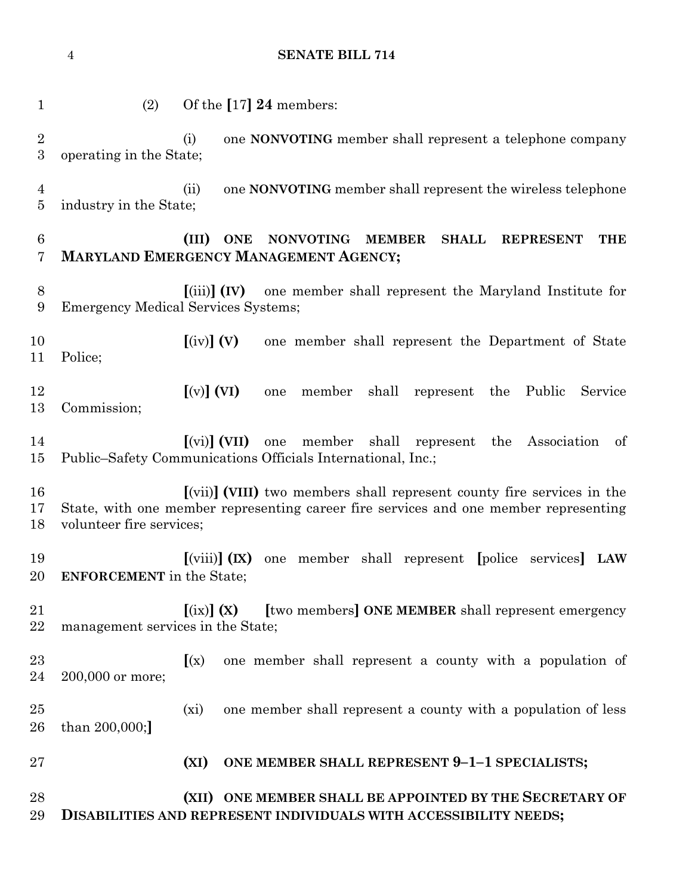**SENATE BILL 714** (2) Of the **[**17**] 24** members: (i) one **NONVOTING** member shall represent a telephone company operating in the State; (ii) one **NONVOTING** member shall represent the wireless telephone industry in the State; **(III) ONE NONVOTING MEMBER SHALL REPRESENT THE MARYLAND EMERGENCY MANAGEMENT AGENCY; [**(iii)**] (IV)** one member shall represent the Maryland Institute for Emergency Medical Services Systems; **[**(iv)**] (V)** one member shall represent the Department of State Police; **[**(v)**] (VI)** one member shall represent the Public Service Commission; **[**(vi)**] (VII)** one member shall represent the Association of Public–Safety Communications Officials International, Inc.; **[**(vii)**] (VIII)** two members shall represent county fire services in the State, with one member representing career fire services and one member representing volunteer fire services; **[**(viii)**] (IX)** one member shall represent **[**police services**] LAW ENFORCEMENT** in the State; **[**(ix)**] (X) [**two members**] ONE MEMBER** shall represent emergency management services in the State; **[**(x) one member shall represent a county with a population of 200,000 or more; (xi) one member shall represent a county with a population of less than 200,000;**] (XI) ONE MEMBER SHALL REPRESENT 9–1–1 SPECIALISTS; (XII) ONE MEMBER SHALL BE APPOINTED BY THE SECRETARY OF DISABILITIES AND REPRESENT INDIVIDUALS WITH ACCESSIBILITY NEEDS;**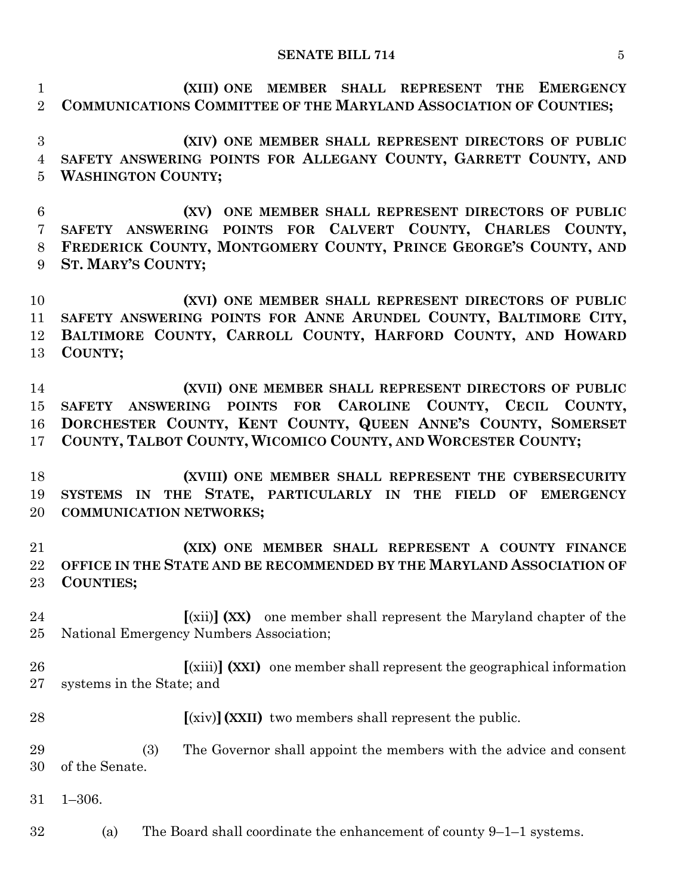**(XIII) ONE MEMBER SHALL REPRESENT THE EMERGENCY COMMUNICATIONS COMMITTEE OF THE MARYLAND ASSOCIATION OF COUNTIES;**

 **(XIV) ONE MEMBER SHALL REPRESENT DIRECTORS OF PUBLIC SAFETY ANSWERING POINTS FOR ALLEGANY COUNTY, GARRETT COUNTY, AND WASHINGTON COUNTY;**

 **(XV) ONE MEMBER SHALL REPRESENT DIRECTORS OF PUBLIC SAFETY ANSWERING POINTS FOR CALVERT COUNTY, CHARLES COUNTY, FREDERICK COUNTY, MONTGOMERY COUNTY, PRINCE GEORGE'S COUNTY, AND ST. MARY'S COUNTY;**

 **(XVI) ONE MEMBER SHALL REPRESENT DIRECTORS OF PUBLIC SAFETY ANSWERING POINTS FOR ANNE ARUNDEL COUNTY, BALTIMORE CITY, BALTIMORE COUNTY, CARROLL COUNTY, HARFORD COUNTY, AND HOWARD COUNTY;**

 **(XVII) ONE MEMBER SHALL REPRESENT DIRECTORS OF PUBLIC SAFETY ANSWERING POINTS FOR CAROLINE COUNTY, CECIL COUNTY, DORCHESTER COUNTY, KENT COUNTY, QUEEN ANNE'S COUNTY, SOMERSET COUNTY, TALBOT COUNTY, WICOMICO COUNTY, AND WORCESTER COUNTY;**

 **(XVIII) ONE MEMBER SHALL REPRESENT THE CYBERSECURITY SYSTEMS IN THE STATE, PARTICULARLY IN THE FIELD OF EMERGENCY COMMUNICATION NETWORKS;**

 **(XIX) ONE MEMBER SHALL REPRESENT A COUNTY FINANCE OFFICE IN THE STATE AND BE RECOMMENDED BY THE MARYLAND ASSOCIATION OF COUNTIES;**

 **[**(xii)**] (XX)** one member shall represent the Maryland chapter of the National Emergency Numbers Association;

 **[**(xiii)**] (XXI)** one member shall represent the geographical information systems in the State; and

**[**(xiv)**](XXII)** two members shall represent the public.

 (3) The Governor shall appoint the members with the advice and consent of the Senate.

1–306.

(a) The Board shall coordinate the enhancement of county  $9-1-1$  systems.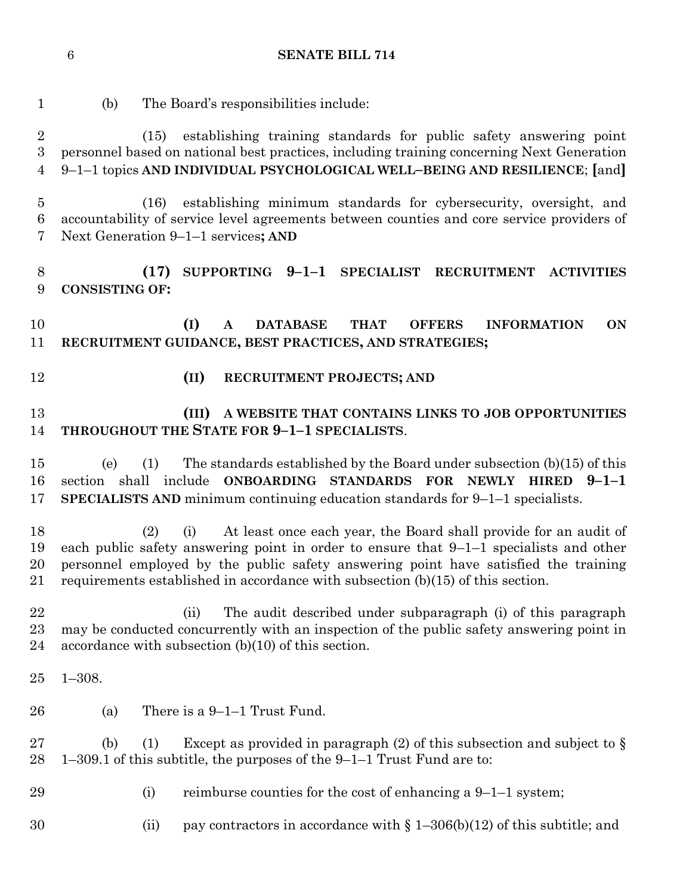(b) The Board's responsibilities include: (15) establishing training standards for public safety answering point personnel based on national best practices, including training concerning Next Generation 9–1–1 topics **AND INDIVIDUAL PSYCHOLOGICAL WELL–BEING AND RESILIENCE**; **[**and**]** (16) establishing minimum standards for cybersecurity, oversight, and accountability of service level agreements between counties and core service providers of Next Generation 9–1–1 services**; AND (17) SUPPORTING 9–1–1 SPECIALIST RECRUITMENT ACTIVITIES CONSISTING OF: (I) A DATABASE THAT OFFERS INFORMATION ON RECRUITMENT GUIDANCE, BEST PRACTICES, AND STRATEGIES; (II) RECRUITMENT PROJECTS; AND (III) A WEBSITE THAT CONTAINS LINKS TO JOB OPPORTUNITIES THROUGHOUT THE STATE FOR 9–1–1 SPECIALISTS**. (e) (1) The standards established by the Board under subsection (b)(15) of this section shall include **ONBOARDING STANDARDS FOR NEWLY HIRED 9–1–1 SPECIALISTS AND** minimum continuing education standards for 9–1–1 specialists. (2) (i) At least once each year, the Board shall provide for an audit of each public safety answering point in order to ensure that 9–1–1 specialists and other personnel employed by the public safety answering point have satisfied the training requirements established in accordance with subsection (b)(15) of this section. (ii) The audit described under subparagraph (i) of this paragraph may be conducted concurrently with an inspection of the public safety answering point in 24 accordance with subsection  $(b)(10)$  of this section. 1–308. (a) There is a 9–1–1 Trust Fund. 27 (b) (1) Except as provided in paragraph (2) of this subsection and subject to  $\S$  1–309.1 of this subtitle, the purposes of the 9–1–1 Trust Fund are to: 29 (i) reimburse counties for the cost of enhancing a  $9-1-1$  system; 30 (ii) pay contractors in accordance with  $\S 1-306(b)(12)$  of this subtitle; and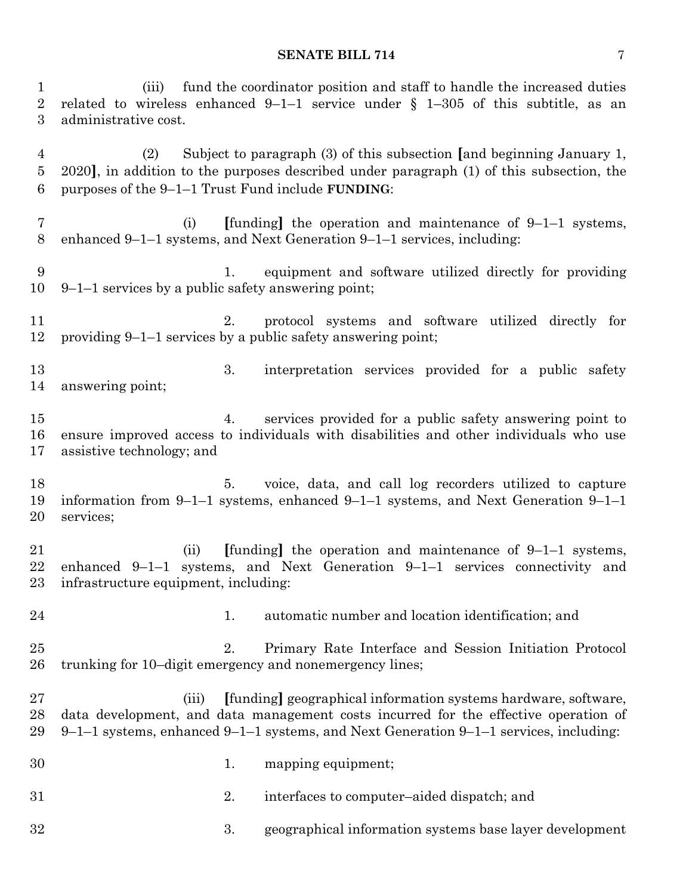(iii) fund the coordinator position and staff to handle the increased duties related to wireless enhanced 9–1–1 service under § 1–305 of this subtitle, as an administrative cost.

 (2) Subject to paragraph (3) of this subsection **[**and beginning January 1, 2020**]**, in addition to the purposes described under paragraph (1) of this subsection, the purposes of the 9–1–1 Trust Fund include **FUNDING**:

- (i) **[**funding**]** the operation and maintenance of 9–1–1 systems, enhanced 9–1–1 systems, and Next Generation 9–1–1 services, including:
- 1. equipment and software utilized directly for providing 9–1–1 services by a public safety answering point;
- 2. protocol systems and software utilized directly for providing 9–1–1 services by a public safety answering point;
- 13 3. interpretation services provided for a public safety answering point;
- 4. services provided for a public safety answering point to ensure improved access to individuals with disabilities and other individuals who use assistive technology; and
- 18 5. voice, data, and call log recorders utilized to capture information from 9–1–1 systems, enhanced 9–1–1 systems, and Next Generation 9–1–1 services;
- (ii) **[**funding**]** the operation and maintenance of 9–1–1 systems, enhanced 9–1–1 systems, and Next Generation 9–1–1 services connectivity and infrastructure equipment, including:
- 1. automatic number and location identification; and
- 2. Primary Rate Interface and Session Initiation Protocol trunking for 10–digit emergency and nonemergency lines;
- (iii) **[**funding**]** geographical information systems hardware, software, data development, and data management costs incurred for the effective operation of 9–1–1 systems, enhanced 9–1–1 systems, and Next Generation 9–1–1 services, including:
- 1. mapping equipment;
- 2. interfaces to computer–aided dispatch; and
- 3. geographical information systems base layer development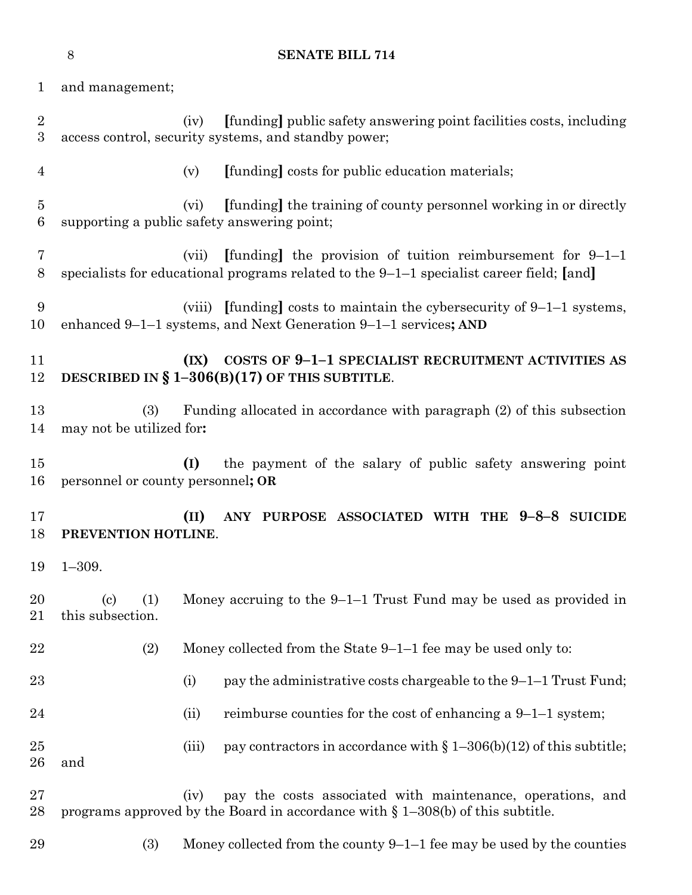|                                   | 8                                                     | <b>SENATE BILL 714</b>                                                                                                                                              |
|-----------------------------------|-------------------------------------------------------|---------------------------------------------------------------------------------------------------------------------------------------------------------------------|
| $\mathbf 1$                       | and management;                                       |                                                                                                                                                                     |
| $\sqrt{2}$<br>3                   |                                                       | [funding] public safety answering point facilities costs, including<br>(iv)<br>access control, security systems, and standby power;                                 |
| $\overline{4}$                    |                                                       | [funding] costs for public education materials;<br>(v)                                                                                                              |
| $\overline{5}$<br>$6\phantom{.}6$ |                                                       | [funding] the training of county personnel working in or directly<br>(vi)<br>supporting a public safety answering point;                                            |
| $\overline{7}$<br>$8\,$           |                                                       | [funding] the provision of tuition reimbursement for $9-1-1$<br>(vii)<br>specialists for educational programs related to the $9-1-1$ specialist career field; [and] |
| 9<br>10                           |                                                       | (viii) [funding] costs to maintain the cybers ecurity of $9-1-1$ systems,<br>enhanced 9-1-1 systems, and Next Generation 9-1-1 services; AND                        |
| 11<br>12                          |                                                       | COSTS OF 9-1-1 SPECIALIST RECRUITMENT ACTIVITIES AS<br>(IX)<br>DESCRIBED IN $\S$ 1-306(B)(17) OF THIS SUBTITLE.                                                     |
| 13<br>14                          | (3)<br>may not be utilized for:                       | Funding allocated in accordance with paragraph (2) of this subsection                                                                                               |
| 15<br>16                          | personnel or county personnel; OR                     | the payment of the salary of public safety answering point<br>(I)                                                                                                   |
| 17<br>18                          | PREVENTION HOTLINE.                                   | ANY PURPOSE ASSOCIATED WITH THE 9-8-8 SUICIDE<br>(II)                                                                                                               |
| 19                                | $1 - 309.$                                            |                                                                                                                                                                     |
| 20<br>21                          | $\left( \mathrm{c}\right)$<br>(1)<br>this subsection. | Money accruing to the $9-1-1$ Trust Fund may be used as provided in                                                                                                 |
| 22                                | (2)                                                   | Money collected from the State $9-1-1$ fee may be used only to:                                                                                                     |
| 23                                |                                                       | pay the administrative costs chargeable to the $9-1-1$ Trust Fund;<br>(i)                                                                                           |
| 24                                |                                                       | reimburse counties for the cost of enhancing a $9-1-1$ system;<br>(ii)                                                                                              |
| 25<br>26                          | and                                                   | (iii)<br>pay contractors in accordance with $\S 1-306(b)(12)$ of this subtitle;                                                                                     |
| 27<br>28                          |                                                       | pay the costs associated with maintenance, operations, and<br>(iv)<br>programs approved by the Board in accordance with $\S$ 1-308(b) of this subtitle.             |
| 29                                | (3)                                                   | Money collected from the county $9-1-1$ fee may be used by the counties                                                                                             |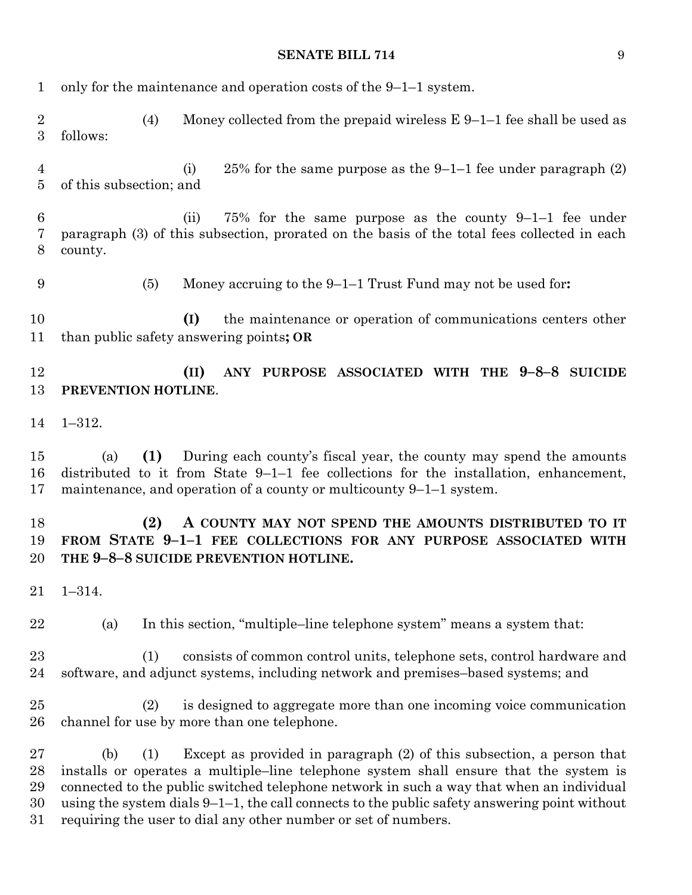| $\mathbf{1}$               | only for the maintenance and operation costs of the $9-1-1$ system.                                                                                                                                                                                                                                                                                                                                                                           |  |  |  |
|----------------------------|-----------------------------------------------------------------------------------------------------------------------------------------------------------------------------------------------------------------------------------------------------------------------------------------------------------------------------------------------------------------------------------------------------------------------------------------------|--|--|--|
| $\boldsymbol{2}$<br>3      | (4)<br>Money collected from the prepaid wireless $E\left[9-1-1\right]$ fee shall be used as<br>follows:                                                                                                                                                                                                                                                                                                                                       |  |  |  |
| 4<br>$\overline{5}$        | 25% for the same purpose as the 9-1-1 fee under paragraph $(2)$<br>(i)<br>of this subsection; and                                                                                                                                                                                                                                                                                                                                             |  |  |  |
| $6\phantom{.}6$<br>7<br>8  | 75% for the same purpose as the county $9-1-1$ fee under<br>(ii)<br>paragraph (3) of this subsection, prorated on the basis of the total fees collected in each<br>county.                                                                                                                                                                                                                                                                    |  |  |  |
| 9                          | (5)<br>Money accruing to the $9-1-1$ Trust Fund may not be used for:                                                                                                                                                                                                                                                                                                                                                                          |  |  |  |
| 10<br>11                   | the maintenance or operation of communications centers other<br>(I)<br>than public safety answering points; OR                                                                                                                                                                                                                                                                                                                                |  |  |  |
| 12<br>13                   | ANY PURPOSE ASSOCIATED WITH THE 9-8-8 SUICIDE<br>(II)<br>PREVENTION HOTLINE.                                                                                                                                                                                                                                                                                                                                                                  |  |  |  |
| 14                         | $1 - 312.$                                                                                                                                                                                                                                                                                                                                                                                                                                    |  |  |  |
| 15<br>16<br>17             | (1)<br>During each county's fiscal year, the county may spend the amounts<br>(a)<br>distributed to it from State $9-1-1$ fee collections for the installation, enhancement,<br>maintenance, and operation of a county or multicounty $9-1-1$ system.                                                                                                                                                                                          |  |  |  |
| 18<br>19<br>20             | (2)<br>A COUNTY MAY NOT SPEND THE AMOUNTS DISTRIBUTED TO IT<br>FROM STATE 9-1-1 FEE COLLECTIONS FOR ANY PURPOSE ASSOCIATED WITH<br>THE 9-8-8 SUICIDE PREVENTION HOTLINE.                                                                                                                                                                                                                                                                      |  |  |  |
| 21                         | $1 - 314.$                                                                                                                                                                                                                                                                                                                                                                                                                                    |  |  |  |
| 22                         | In this section, "multiple-line telephone system" means a system that:<br>(a)                                                                                                                                                                                                                                                                                                                                                                 |  |  |  |
| 23<br>24                   | (1)<br>consists of common control units, telephone sets, control hardware and<br>software, and adjunct systems, including network and premises-based systems; and                                                                                                                                                                                                                                                                             |  |  |  |
| 25<br>26                   | is designed to aggregate more than one incoming voice communication<br>(2)<br>channel for use by more than one telephone.                                                                                                                                                                                                                                                                                                                     |  |  |  |
| 27<br>28<br>29<br>30<br>31 | Except as provided in paragraph (2) of this subsection, a person that<br>(b)<br>(1)<br>installs or operates a multiple-line telephone system shall ensure that the system is<br>connected to the public switched telephone network in such a way that when an individual<br>using the system dials $9-1-1$ , the call connects to the public safety answering point without<br>requiring the user to dial any other number or set of numbers. |  |  |  |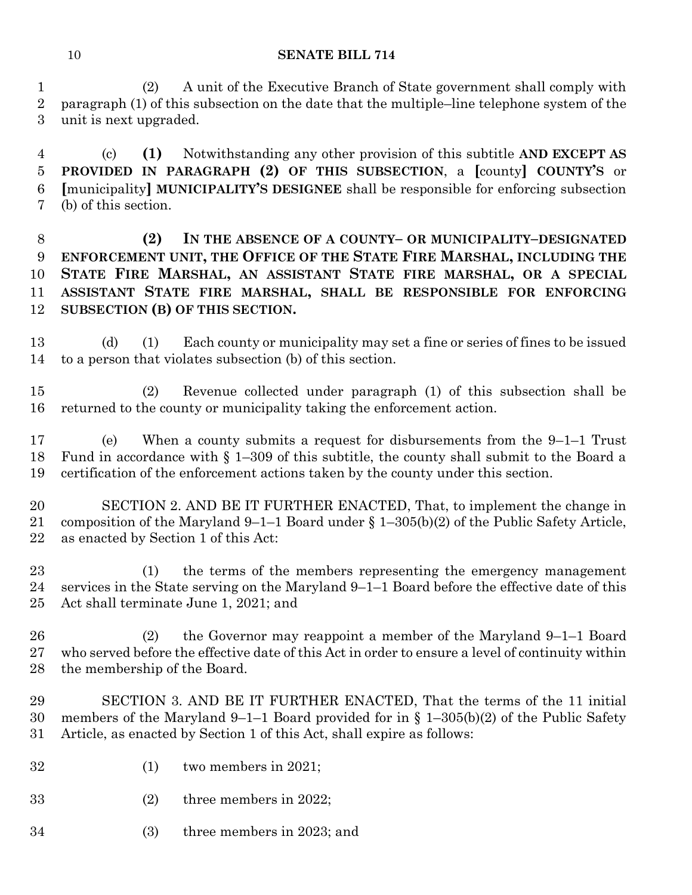(2) A unit of the Executive Branch of State government shall comply with paragraph (1) of this subsection on the date that the multiple–line telephone system of the unit is next upgraded.

 (c) **(1)** Notwithstanding any other provision of this subtitle **AND EXCEPT AS PROVIDED IN PARAGRAPH (2) OF THIS SUBSECTION**, a **[**county**] COUNTY'S** or **[**municipality**] MUNICIPALITY'S DESIGNEE** shall be responsible for enforcing subsection (b) of this section.

 **(2) IN THE ABSENCE OF A COUNTY– OR MUNICIPALITY–DESIGNATED ENFORCEMENT UNIT, THE OFFICE OF THE STATE FIRE MARSHAL, INCLUDING THE STATE FIRE MARSHAL, AN ASSISTANT STATE FIRE MARSHAL, OR A SPECIAL ASSISTANT STATE FIRE MARSHAL, SHALL BE RESPONSIBLE FOR ENFORCING SUBSECTION (B) OF THIS SECTION.**

 (d) (1) Each county or municipality may set a fine or series of fines to be issued to a person that violates subsection (b) of this section.

 (2) Revenue collected under paragraph (1) of this subsection shall be returned to the county or municipality taking the enforcement action.

 (e) When a county submits a request for disbursements from the 9–1–1 Trust Fund in accordance with § 1–309 of this subtitle, the county shall submit to the Board a certification of the enforcement actions taken by the county under this section.

 SECTION 2. AND BE IT FURTHER ENACTED, That, to implement the change in composition of the Maryland 9–1–1 Board under § 1–305(b)(2) of the Public Safety Article, as enacted by Section 1 of this Act:

 (1) the terms of the members representing the emergency management services in the State serving on the Maryland 9–1–1 Board before the effective date of this Act shall terminate June 1, 2021; and

 (2) the Governor may reappoint a member of the Maryland 9–1–1 Board who served before the effective date of this Act in order to ensure a level of continuity within the membership of the Board.

 SECTION 3. AND BE IT FURTHER ENACTED, That the terms of the 11 initial members of the Maryland 9–1–1 Board provided for in § 1–305(b)(2) of the Public Safety Article, as enacted by Section 1 of this Act, shall expire as follows:

- (1) two members in 2021;
- (2) three members in 2022;
- (3) three members in 2023; and